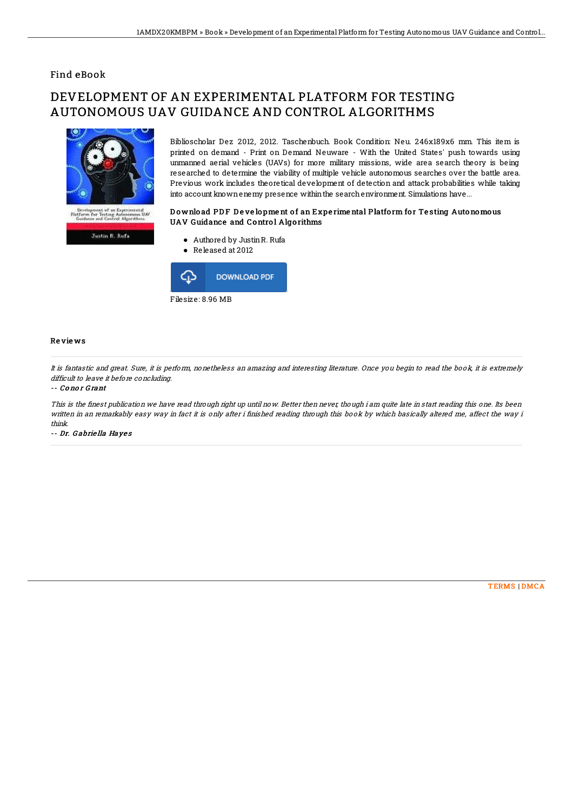## Find eBook

# DEVELOPMENT OF AN EXPERIMENTAL PLATFORM FOR TESTING AUTONOMOUS UAV GUIDANCE AND CONTROL ALGORITHMS



**Justin R. Rufs** 

Biblioscholar Dez 2012, 2012. Taschenbuch. Book Condition: Neu. 246x189x6 mm. This item is printed on demand - Print on Demand Neuware - With the United States' push towards using unmanned aerial vehicles (UAVs) for more military missions, wide area search theory is being researched to determine the viability of multiple vehicle autonomous searches over the battle area. Previous work includes theoretical development of detection and attack probabilities while taking into account knownenemy presence withinthe searchenvironment. Simulations have...

### Download PDF Development of an Experimental Platform for Testing Autonomous UAV Guidance and Control Algorithms

- Authored by JustinR. Rufa
- Released at 2012



#### Re vie ws

It is fantastic and great. Sure, it is perform, nonetheless an amazing and interesting literature. Once you begin to read the book, it is extremely difficult to leave it before concluding.

#### -- Co no r G rant

This is the finest publication we have read through right up until now. Better then never, though i am quite late in start reading this one. Its been written in an remarkably easy way in fact it is only after i finished reading through this book by which basically altered me, affect the way i think.

-- Dr. G abrie lla Haye <sup>s</sup>